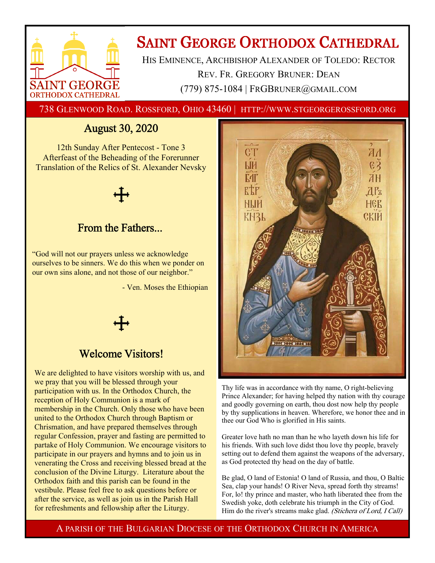

# **SAINT GEORGE ORTHODOX CATHEDRAL**

HIS EMINENCE, ARCHBISHOP ALEXANDER OF TOLEDO: RECTOR REV. FR. GREGORY BRUNER: DEAN (779) 875-1084 | FRGBRUNER@GMAIL.COM

738 GLENWOOD ROAD. ROSSFORD, OHIO 43460 | HTTP://WWW.STGEORGEROSSFORD.ORG

## August 30, 2020

12th Sunday After Pentecost - Tone 3 Afterfeast of the Beheading of the Forerunner Translation of the Relics of St. Alexander Nevsky



### From the Fathers...

"God will not our prayers unless we acknowledge ourselves to be sinners. We do this when we ponder on our own sins alone, and not those of our neighbor."

- Ven. Moses the Ethiopian

### Welcome Visitors!

We are delighted to have visitors worship with us, and we pray that you will be blessed through your participation with us. In the Orthodox Church, the reception of Holy Communion is a mark of membership in the Church. Only those who have been united to the Orthodox Church through Baptism or Chrismation, and have prepared themselves through regular Confession, prayer and fasting are permitted to partake of Holy Communion. We encourage visitors to participate in our prayers and hymns and to join us in venerating the Cross and receiving blessed bread at the conclusion of the Divine Liturgy. Literature about the Orthodox faith and this parish can be found in the vestibule. Please feel free to ask questions before or after the service, as well as join us in the Parish Hall for refreshments and fellowship after the Liturgy.



Thy life was in accordance with thy name, O right-believing Prince Alexander; for having helped thy nation with thy courage and goodly governing on earth, thou dost now help thy people by thy supplications in heaven. Wherefore, we honor thee and in thee our God Who is glorified in His saints.

Greater love hath no man than he who layeth down his life for his friends. With such love didst thou love thy people, bravely setting out to defend them against the weapons of the adversary, as God protected thy head on the day of battle.

Be glad, O land of Estonia! O land of Russia, and thou, O Baltic Sea, clap your hands! O River Neva, spread forth thy streams! For, lo! thy prince and master, who hath liberated thee from the Swedish yoke, doth celebrate his triumph in the City of God. Him do the river's streams make glad. (Stichera of Lord, I Call)

A PARISH OF THE BULGARIAN DIOCESE OF THE ORTHODOX CHURCH IN AMERICA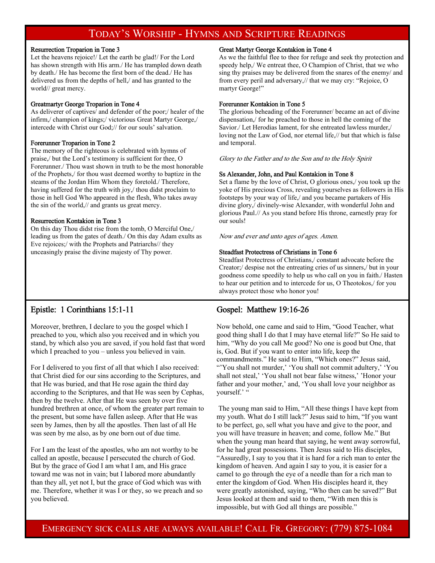### TODAY'S WORSHIP - HYMNS AND SCRIPTURE READINGS

#### Resurrection Troparion in Tone 3

Let the heavens rejoice!/ Let the earth be glad!/ For the Lord has shown strength with His arm./ He has trampled down death by death./ He has become the first born of the dead./ He has delivered us from the depths of hell,/ and has granted to the world// great mercy.

#### Greatmartyr George Troparion in Tone 4

As deliverer of captives/ and defender of the poor;/ healer of the infirm,/ champion of kings;/ victorious Great Martyr George,/ intercede with Christ our God;// for our souls' salvation.

#### Forerunner Troparion in Tone 2

The memory of the righteous is celebrated with hymns of praise,/ but the Lord's testimony is sufficient for thee, O Forerunner./ Thou wast shown in truth to be the most honorable of the Prophets,/ for thou wast deemed worthy to baptize in the steams of the Jordan Him Whom they foretold./ Therefore, having suffered for the truth with joy,/ thou didst proclaim to those in hell God Who appeared in the flesh, Who takes away the sin of the world,// and grants us great mercy.

#### Resurrection Kontakion in Tone 3

On this day Thou didst rise from the tomb, O Merciful One,/ leading us from the gates of death./ On this day Adam exults as Eve rejoices;/ with the Prophets and Patriarchs// they unceasingly praise the divine majesty of Thy power.

#### Great Martyr George Kontakion in Tone 4

As we the faithful flee to thee for refuge and seek thy protection and speedy help,/ We entreat thee, O Champion of Christ, that we who sing thy praises may be delivered from the snares of the enemy/ and from every peril and adversary,// that we may cry: "Rejoice, O martyr George!"

#### Forerunner Kontakion in Tone 5

The glorious beheading of the Forerunner/ became an act of divine dispensation,/ for he preached to those in hell the coming of the Savior./ Let Herodias lament, for she entreated lawless murder,/ loving not the Law of God, nor eternal life,// but that which is false and temporal.

Glory to the Father and to the Son and to the Holy Spirit

#### Ss Alexander, John, and Paul Kontakion in Tone 8

Set a flame by the love of Christ, O glorious ones,/ you took up the yoke of His precious Cross, revealing yourselves as followers in His footsteps by your way of life,/ and you became partakers of His divine glory,/ divinely-wise Alexander, with wonderful John and glorious Paul.// As you stand before His throne, earnestly pray for our souls!

Now and ever and unto ages of ages. Amen.

#### Steadfast Protectress of Christians in Tone 6

Steadfast Protectress of Christians,/ constant advocate before the Creator;/ despise not the entreating cries of us sinners,/ but in your goodness come speedily to help us who call on you in faith./ Hasten to hear our petition and to intercede for us, O Theotokos,/ for you always protect those who honor you!

### Epistle: 1 Corinthians 15:1-11

Moreover, brethren, I declare to you the gospel which I preached to you, which also you received and in which you stand, by which also you are saved, if you hold fast that word which I preached to you – unless you believed in vain.

For I delivered to you first of all that which I also received: that Christ died for our sins according to the Scriptures, and that He was buried, and that He rose again the third day according to the Scriptures, and that He was seen by Cephas, then by the twelve. After that He was seen by over five hundred brethren at once, of whom the greater part remain to the present, but some have fallen asleep. After that He was seen by James, then by all the apostles. Then last of all He was seen by me also, as by one born out of due time.

For I am the least of the apostles, who am not worthy to be called an apostle, because I persecuted the church of God. But by the grace of God I am what I am, and His grace toward me was not in vain; but I labored more abundantly than they all, yet not I, but the grace of God which was with me. Therefore, whether it was I or they, so we preach and so you believed.

### Gospel: Matthew 19:16-26

Now behold, one came and said to Him, "Good Teacher, what good thing shall I do that I may have eternal life?" So He said to him, "Why do you call Me good? No one is good but One, that is, God. But if you want to enter into life, keep the commandments." He said to Him, "Which ones?" Jesus said, "'You shall not murder,' 'You shall not commit adultery,' 'You shall not steal,' 'You shall not bear false witness,' 'Honor your father and your mother,' and, 'You shall love your neighbor as yourself.' "

 The young man said to Him, "All these things I have kept from my youth. What do I still lack?" Jesus said to him, "If you want to be perfect, go, sell what you have and give to the poor, and you will have treasure in heaven; and come, follow Me." But when the young man heard that saying, he went away sorrowful, for he had great possessions. Then Jesus said to His disciples, "Assuredly, I say to you that it is hard for a rich man to enter the kingdom of heaven. And again I say to you, it is easier for a camel to go through the eye of a needle than for a rich man to enter the kingdom of God. When His disciples heard it, they were greatly astonished, saying, "Who then can be saved?" But Jesus looked at them and said to them, "With men this is impossible, but with God all things are possible."

EMERGENCY SICK CALLS ARE ALWAYS AVAILABLE! CALL FR. GREGORY: (779) 875-1084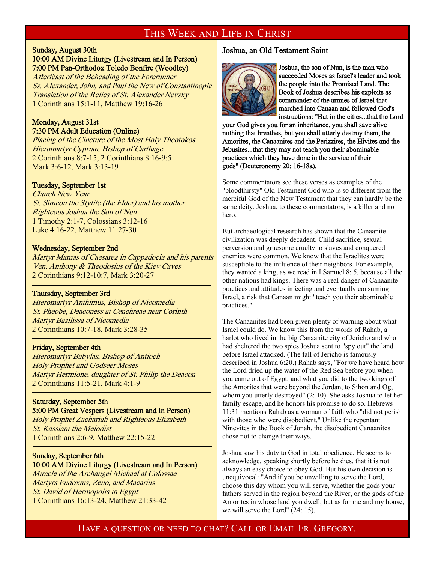### THIS WEEK AND LIFE IN CHRIST

### Sunday, August 30th

10:00 AM Divine Liturgy (Livestream and In Person) 7:00 PM Pan-Orthodox Toledo Bonfire (Woodley)

Afterfeast of the Beheading of the Forerunner Ss. Alexander, John, and Paul the New of Constantinople Translation of the Relics of St. Alexander Nevsky 1 Corinthians 15:1-11, Matthew 19:16-26

### Monday, August 31st 7:30 PM Adult Education (Online)

Placing of the Cincture of the Most Holy Theotokos Hieromartyr Cyprian, Bishop of Carthage 2 Corinthians 8:7-15, 2 Corinthians 8:16-9:5 Mark 3:6-12, Mark 3:13-19

### Tuesday, September 1st

 $\overline{a}$ 

 $\overline{a}$ 

-

Church New Year St. Simeon the Stylite (the Elder) and his mother Righteous Joshua the Son of Nun 1 Timothy 2:1-7, Colossians 3:12-16 Luke 4:16-22, Matthew 11:27-30

### Wednesday, September 2nd

Martyr Mamas of Caesarea in Cappadocia and his parents Ven. Anthony & Theodosius of the Kiev Caves 2 Corinthians 9:12-10:7, Mark 3:20-27

### Thursday, September 3rd

Hieromartyr Anthimus, Bishop of Nicomedia St. Pheobe, Deaconess at Cenchreae near Corinth Martyr Basilissa of Nicomedia 2 Corinthians 10:7-18, Mark 3:28-35

#### Friday, September 4th

Hieromartyr Babylas, Bishop of Antioch Holy Prophet and Godseer Moses Martyr Hermione, daughter of St. Philip the Deacon 2 Corinthians 11:5-21, Mark 4:1-9

### Saturday, September 5th

### 5:00 PM Great Vespers (Livestream and In Person)

Holy Prophet Zachariah and Righteous Elizabeth St. Kassiani the Melodist 1 Corinthians 2:6-9, Matthew 22:15-22

### Sunday, September 6th 10:00 AM Divine Liturgy (Livestream and In Person)

Miracle of the Archangel Michael at Colossae Martyrs Eudoxius, Zeno, and Macarius St. David of Hermopolis in Egypt 1 Corinthians 16:13-24, Matthew 21:33-42

### Joshua, an Old Testament Saint



Joshua, the son of Nun, is the man who succeeded Moses as Israel's leader and took the people into the Promised Land. The Book of Joshua describes his exploits as commander of the armies of Israel that marched into Canaan and followed God's instructions: "But in the cities...that the Lord

your God gives you for an inheritance, you shall save alive nothing that breathes, but you shall utterly destroy them, the Amorites, the Canaanites and the Perizzites, the Hivites and the Jebusites...that they may not teach you their abominable practices which they have done in the service of their gods" (Deuteronomy 20: 16-18a).

Some commentators see these verses as examples of the "bloodthirsty" Old Testament God who is so different from the merciful God of the New Testament that they can hardly be the same deity. Joshua, to these commentators, is a killer and no hero.

But archaeological research has shown that the Canaanite civilization was deeply decadent. Child sacrifice, sexual perversion and gruesome cruelty to slaves and conquered enemies were common. We know that the Israelites were susceptible to the influence of their neighbors. For example, they wanted a king, as we read in I Samuel 8: 5, because all the other nations had kings. There was a real danger of Canaanite practices and attitudes infecting and eventually consuming Israel, a risk that Canaan might "teach you their abominable practices."

The Canaanites had been given plenty of warning about what Israel could do. We know this from the words of Rahab, a harlot who lived in the big Canaanite city of Jericho and who had sheltered the two spies Joshua sent to "spy out" the land before Israel attacked. (The fall of Jericho is famously described in Joshua 6:20.) Rahab says, "For we have heard how the Lord dried up the water of the Red Sea before you when you came out of Egypt, and what you did to the two kings of the Amorites that were beyond the Jordan, to Sihon and Og, whom you utterly destroyed" (2: 10). She asks Joshua to let her family escape, and he honors his promise to do so. Hebrews 11:31 mentions Rahab as a woman of faith who "did not perish with those who were disobedient." Unlike the repentant Ninevites in the Book of Jonah, the disobedient Canaanites chose not to change their ways.

Joshua saw his duty to God in total obedience. He seems to acknowledge, speaking shortly before he dies, that it is not always an easy choice to obey God. But his own decision is unequivocal: "And if you be unwilling to serve the Lord, choose this day whom you will serve, whether the gods your fathers served in the region beyond the River, or the gods of the Amorites in whose land you dwell; but as for me and my house, we will serve the Lord" (24: 15).

### HAVE A QUESTION OR NEED TO CHAT? CALL OR EMAIL FR. GREGORY.